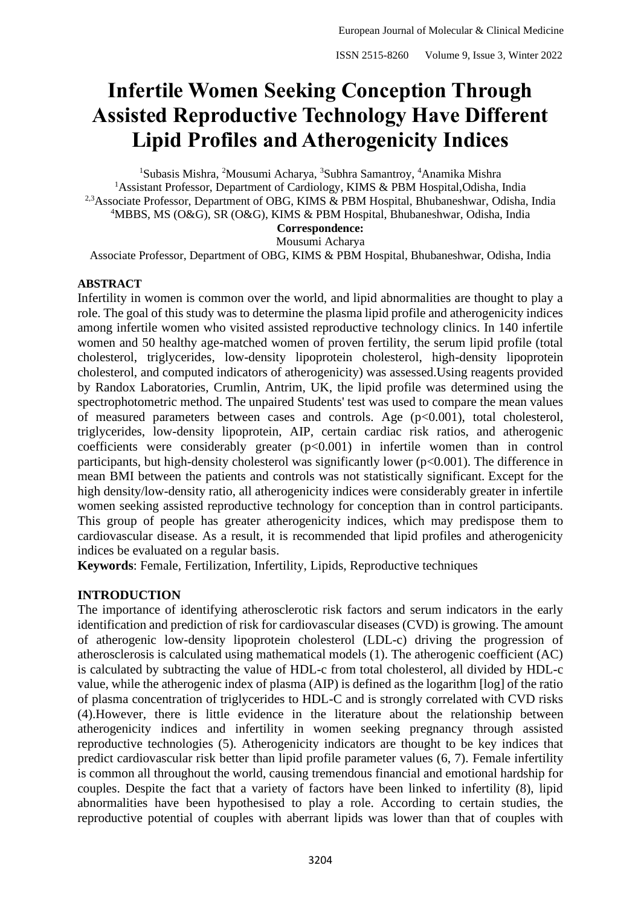# **Infertile Women Seeking Conception Through Assisted Reproductive Technology Have Different Lipid Profiles and Atherogenicity Indices**

<sup>1</sup>Subasis Mishra, <sup>2</sup>Mousumi Acharya, <sup>3</sup>Subhra Samantroy, <sup>4</sup>Anamika Mishra <sup>1</sup>Assistant Professor, Department of Cardiology, KIMS & PBM Hospital, Odisha, India <sup>2,3</sup>Associate Professor, Department of OBG, KIMS & PBM Hospital, Bhubaneshwar, Odisha, India <sup>4</sup>MBBS, MS (O&G), SR (O&G), KIMS & PBM Hospital, Bhubaneshwar, Odisha, India **Correspondence:** Mousumi Acharya

Associate Professor, Department of OBG, KIMS & PBM Hospital, Bhubaneshwar, Odisha, India

## **ABSTRACT**

Infertility in women is common over the world, and lipid abnormalities are thought to play a role. The goal of this study was to determine the plasma lipid profile and atherogenicity indices among infertile women who visited assisted reproductive technology clinics. In 140 infertile women and 50 healthy age-matched women of proven fertility, the serum lipid profile (total cholesterol, triglycerides, low-density lipoprotein cholesterol, high-density lipoprotein cholesterol, and computed indicators of atherogenicity) was assessed.Using reagents provided by Randox Laboratories, Crumlin, Antrim, UK, the lipid profile was determined using the spectrophotometric method. The unpaired Students' test was used to compare the mean values of measured parameters between cases and controls. Age (p<0.001), total cholesterol, triglycerides, low-density lipoprotein, AIP, certain cardiac risk ratios, and atherogenic coefficients were considerably greater  $(p<0.001)$  in infertile women than in control participants, but high-density cholesterol was significantly lower  $(p<0.001)$ . The difference in mean BMI between the patients and controls was not statistically significant. Except for the high density/low-density ratio, all atherogenicity indices were considerably greater in infertile women seeking assisted reproductive technology for conception than in control participants. This group of people has greater atherogenicity indices, which may predispose them to cardiovascular disease. As a result, it is recommended that lipid profiles and atherogenicity indices be evaluated on a regular basis.

**Keywords**: Female, Fertilization, Infertility, Lipids, Reproductive techniques

## **INTRODUCTION**

The importance of identifying atherosclerotic risk factors and serum indicators in the early identification and prediction of risk for cardiovascular diseases (CVD) is growing. The amount of atherogenic low-density lipoprotein cholesterol (LDL-c) driving the progression of atherosclerosis is calculated using mathematical models (1). The atherogenic coefficient (AC) is calculated by subtracting the value of HDL-c from total cholesterol, all divided by HDL-c value, while the atherogenic index of plasma (AIP) is defined as the logarithm [log] of the ratio of plasma concentration of triglycerides to HDL-C and is strongly correlated with CVD risks (4).However, there is little evidence in the literature about the relationship between atherogenicity indices and infertility in women seeking pregnancy through assisted reproductive technologies (5). Atherogenicity indicators are thought to be key indices that predict cardiovascular risk better than lipid profile parameter values (6, 7). Female infertility is common all throughout the world, causing tremendous financial and emotional hardship for couples. Despite the fact that a variety of factors have been linked to infertility (8), lipid abnormalities have been hypothesised to play a role. According to certain studies, the reproductive potential of couples with aberrant lipids was lower than that of couples with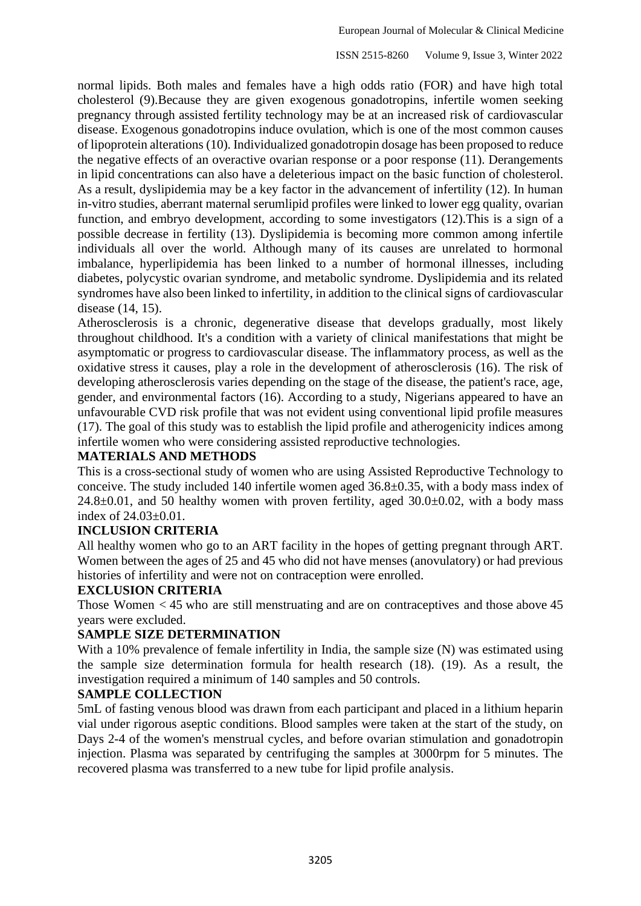ISSN 2515-8260 Volume 9, Issue 3, Winter 2022

normal lipids. Both males and females have a high odds ratio (FOR) and have high total cholesterol (9).Because they are given exogenous gonadotropins, infertile women seeking pregnancy through assisted fertility technology may be at an increased risk of cardiovascular disease. Exogenous gonadotropins induce ovulation, which is one of the most common causes of lipoprotein alterations (10). Individualized gonadotropin dosage has been proposed to reduce the negative effects of an overactive ovarian response or a poor response  $(11)$ . Derangements in lipid concentrations can also have a deleterious impact on the basic function of cholesterol. As a result, dyslipidemia may be a key factor in the advancement of infertility (12). In human in-vitro studies, aberrant maternal serumlipid profiles were linked to lower egg quality, ovarian function, and embryo development, according to some investigators (12).This is a sign of a possible decrease in fertility (13). Dyslipidemia is becoming more common among infertile individuals all over the world. Although many of its causes are unrelated to hormonal imbalance, hyperlipidemia has been linked to a number of hormonal illnesses, including diabetes, polycystic ovarian syndrome, and metabolic syndrome. Dyslipidemia and its related syndromes have also been linked to infertility, in addition to the clinical signs of cardiovascular disease (14, 15).

Atherosclerosis is a chronic, degenerative disease that develops gradually, most likely throughout childhood. It's a condition with a variety of clinical manifestations that might be asymptomatic or progress to cardiovascular disease. The inflammatory process, as well as the oxidative stress it causes, play a role in the development of atherosclerosis (16). The risk of developing atherosclerosis varies depending on the stage of the disease, the patient's race, age, gender, and environmental factors (16). According to a study, Nigerians appeared to have an unfavourable CVD risk profile that was not evident using conventional lipid profile measures (17). The goal of this study was to establish the lipid profile and atherogenicity indices among infertile women who were considering assisted reproductive technologies.

## **MATERIALS AND METHODS**

This is a cross-sectional study of women who are using Assisted Reproductive Technology to conceive. The study included 140 infertile women aged 36.8±0.35, with a body mass index of  $24.8\pm0.01$ , and 50 healthy women with proven fertility, aged  $30.0\pm0.02$ , with a body mass index of 24.03±0.01.

## **INCLUSION CRITERIA**

All healthy women who go to an ART facility in the hopes of getting pregnant through ART. Women between the ages of 25 and 45 who did not have menses (anovulatory) or had previous histories of infertility and were not on contraception were enrolled.

## **EXCLUSION CRITERIA**

Those Women < 45 who are still menstruating and are on contraceptives and those above 45 years were excluded.

## **SAMPLE SIZE DETERMINATION**

With a 10% prevalence of female infertility in India, the sample size (N) was estimated using the sample size determination formula for health research (18). (19). As a result, the investigation required a minimum of 140 samples and 50 controls.

## **SAMPLE COLLECTION**

5mL of fasting venous blood was drawn from each participant and placed in a lithium heparin vial under rigorous aseptic conditions. Blood samples were taken at the start of the study, on Days 2-4 of the women's menstrual cycles, and before ovarian stimulation and gonadotropin injection. Plasma was separated by centrifuging the samples at 3000rpm for 5 minutes. The recovered plasma was transferred to a new tube for lipid profile analysis.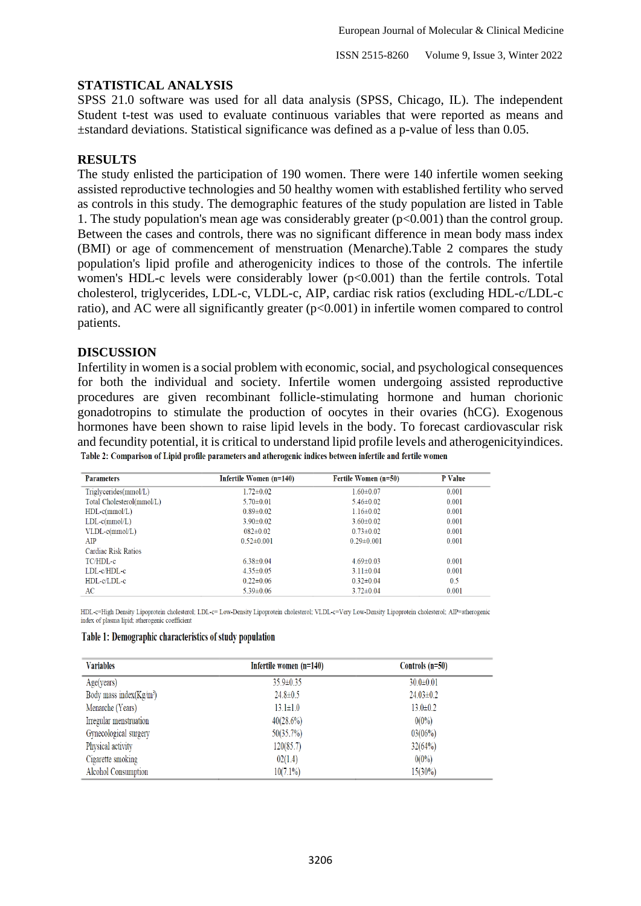## **STATISTICAL ANALYSIS**

SPSS 21.0 software was used for all data analysis (SPSS, Chicago, IL). The independent Student t-test was used to evaluate continuous variables that were reported as means and ±standard deviations. Statistical significance was defined as a p-value of less than 0.05.

## **RESULTS**

The study enlisted the participation of 190 women. There were 140 infertile women seeking assisted reproductive technologies and 50 healthy women with established fertility who served as controls in this study. The demographic features of the study population are listed in Table 1. The study population's mean age was considerably greater  $(p<0.001)$  than the control group. Between the cases and controls, there was no significant difference in mean body mass index (BMI) or age of commencement of menstruation (Menarche).Table 2 compares the study population's lipid profile and atherogenicity indices to those of the controls. The infertile women's HDL-c levels were considerably lower (p<0.001) than the fertile controls. Total cholesterol, triglycerides, LDL-c, VLDL-c, AIP, cardiac risk ratios (excluding HDL-c/LDL-c ratio), and AC were all significantly greater (p<0.001) in infertile women compared to control patients.

#### **DISCUSSION**

Infertility in women is a social problem with economic, social, and psychological consequences for both the individual and society. Infertile women undergoing assisted reproductive procedures are given recombinant follicle-stimulating hormone and human chorionic gonadotropins to stimulate the production of oocytes in their ovaries (hCG). Exogenous hormones have been shown to raise lipid levels in the body. To forecast cardiovascular risk and fecundity potential, it is critical to understand lipid profile levels and atherogenicityindices.Table 2: Comparison of Lipid profile parameters and atherogenic indices between infertile and fertile women

| <b>Parameters</b>         | Infertile Women (n=140) | Fertile Women (n=50) | P Value |
|---------------------------|-------------------------|----------------------|---------|
| Triglycerides(mmol/L)     | $1.72 \pm 0.02$         | $1.60 \pm 0.07$      | 0.001   |
| Total Cholesterol(mmol/L) | $5.70 \pm 0.01$         | $5.46 \pm 0.02$      | 0.001   |
| $HDL-c(mmol/L)$           | $0.89 \pm 0.02$         | $1.16 \pm 0.02$      | 0.001   |
| $LDL-c(mmol/L)$           | $3.90 \pm 0.02$         | $3.60 \pm 0.02$      | 0.001   |
| $VLDL\text{-}c(mmol/L)$   | $082\pm0.02$            | $0.73 \pm 0.02$      | 0.001   |
| AIP                       | $0.52 \pm 0.001$        | $0.29 \pm 0.001$     | 0.001   |
| Cardiac Risk Ratios       |                         |                      |         |
| TC/HDL-c                  | $6.38\pm0.04$           | $4.69 \pm 0.03$      | 0.001   |
| $LDL-c/HDL-c$             | $4.35 \pm 0.05$         | $3.11 \pm 0.04$      | 0.001   |
| $HDL-c/LDL-c$             | $0.22 \pm 0.06$         | $0.32 \pm 0.04$      | 0.5     |
| AC                        | $5.39 \pm 0.06$         | $3.72 \pm 0.04$      | 0.001   |

HDL-c=High Density Lipoprotein cholesterol; LDL-c= Low-Density Lipoprotein cholesterol; VLDL-c=Very Low-Density Lipoprotein cholesterol; AIP=atherogenic index of plasma lipid; atherogenic coefficient

#### Table 1: Demographic characteristics of study population

| <b>Variables</b>           | Infertile women (n=140) | Controls (n=50) |
|----------------------------|-------------------------|-----------------|
| Age(years)                 | $35.9 \pm 0.35$         | $30.0 \pm 0.01$ |
| Body mass index $(Kg/m^3)$ | $24.8 \pm 0.5$          | $24.03 \pm 0.2$ |
| Menarche (Years)           | $13.1 \pm 1.0$          | $13.0 \pm 0.2$  |
| Irregular menstruation     | 40(28.6%)               | $0(0\%)$        |
| Gynecological surgery      | 50(35.7%)               | 03(06%)         |
| Physical activity          | 120(85.7)               | 32(64%)         |
| Cigarette smoking          | 02(1.4)                 | $0(0\%)$        |
| Alcohol Consumption        | $10(7.1\%)$             | $15(30\%)$      |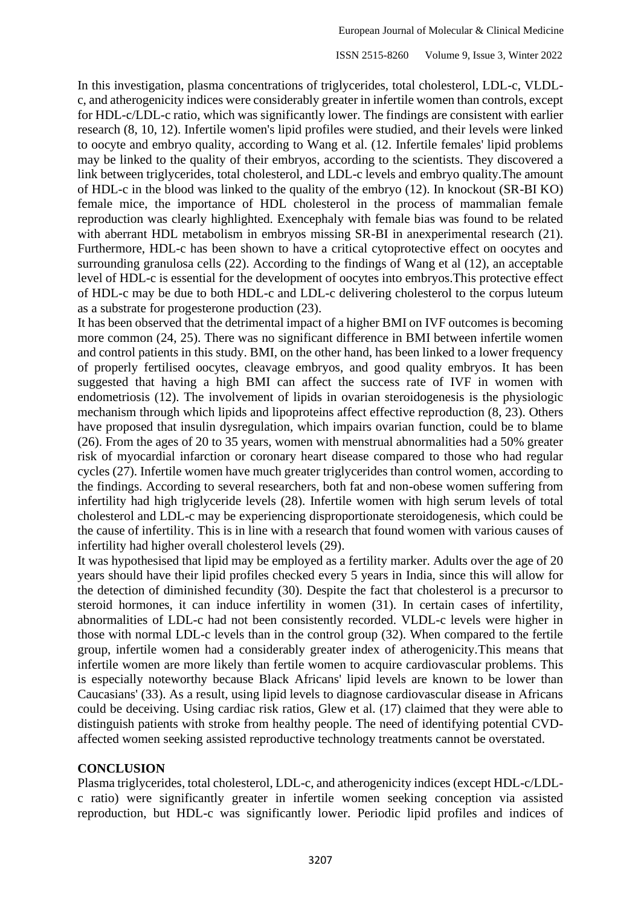ISSN 2515-8260 Volume 9, Issue 3, Winter 2022

In this investigation, plasma concentrations of triglycerides, total cholesterol, LDL-c, VLDLc, and atherogenicity indices were considerably greater in infertile women than controls, except for HDL-c/LDL-c ratio, which was significantly lower. The findings are consistent with earlier research (8, 10, 12). Infertile women's lipid profiles were studied, and their levels were linked to oocyte and embryo quality, according to Wang et al. (12. Infertile females' lipid problems may be linked to the quality of their embryos, according to the scientists. They discovered a link between triglycerides, total cholesterol, and LDL-c levels and embryo quality.The amount of HDL-c in the blood was linked to the quality of the embryo (12). In knockout (SR-BI KO) female mice, the importance of HDL cholesterol in the process of mammalian female reproduction was clearly highlighted. Exencephaly with female bias was found to be related with aberrant HDL metabolism in embryos missing SR-BI in anexperimental research (21). Furthermore, HDL-c has been shown to have a critical cytoprotective effect on oocytes and surrounding granulosa cells (22). According to the findings of Wang et al (12), an acceptable level of HDL-c is essential for the development of oocytes into embryos.This protective effect of HDL-c may be due to both HDL-c and LDL-c delivering cholesterol to the corpus luteum as a substrate for progesterone production (23).

It has been observed that the detrimental impact of a higher BMI on IVF outcomes is becoming more common (24, 25). There was no significant difference in BMI between infertile women and control patients in this study. BMI, on the other hand, has been linked to a lower frequency of properly fertilised oocytes, cleavage embryos, and good quality embryos. It has been suggested that having a high BMI can affect the success rate of IVF in women with endometriosis (12). The involvement of lipids in ovarian steroidogenesis is the physiologic mechanism through which lipids and lipoproteins affect effective reproduction (8, 23). Others have proposed that insulin dysregulation, which impairs ovarian function, could be to blame (26). From the ages of 20 to 35 years, women with menstrual abnormalities had a 50% greater risk of myocardial infarction or coronary heart disease compared to those who had regular cycles (27). Infertile women have much greater triglycerides than control women, according to the findings. According to several researchers, both fat and non-obese women suffering from infertility had high triglyceride levels (28). Infertile women with high serum levels of total cholesterol and LDL-c may be experiencing disproportionate steroidogenesis, which could be the cause of infertility. This is in line with a research that found women with various causes of infertility had higher overall cholesterol levels (29).

It was hypothesised that lipid may be employed as a fertility marker. Adults over the age of 20 years should have their lipid profiles checked every 5 years in India, since this will allow for the detection of diminished fecundity (30). Despite the fact that cholesterol is a precursor to steroid hormones, it can induce infertility in women (31). In certain cases of infertility, abnormalities of LDL-c had not been consistently recorded. VLDL-c levels were higher in those with normal LDL-c levels than in the control group (32). When compared to the fertile group, infertile women had a considerably greater index of atherogenicity.This means that infertile women are more likely than fertile women to acquire cardiovascular problems. This is especially noteworthy because Black Africans' lipid levels are known to be lower than Caucasians' (33). As a result, using lipid levels to diagnose cardiovascular disease in Africans could be deceiving. Using cardiac risk ratios, Glew et al. (17) claimed that they were able to distinguish patients with stroke from healthy people. The need of identifying potential CVDaffected women seeking assisted reproductive technology treatments cannot be overstated.

## **CONCLUSION**

Plasma triglycerides, total cholesterol, LDL-c, and atherogenicity indices (except HDL-c/LDLc ratio) were significantly greater in infertile women seeking conception via assisted reproduction, but HDL-c was significantly lower. Periodic lipid profiles and indices of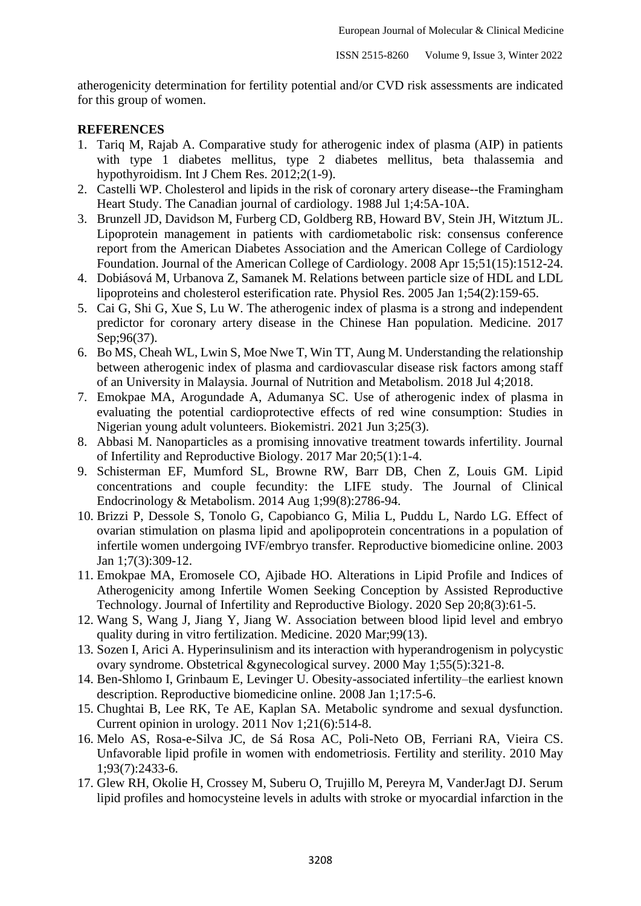atherogenicity determination for fertility potential and/or CVD risk assessments are indicated for this group of women.

## **REFERENCES**

- 1. Tariq M, Rajab A. Comparative study for atherogenic index of plasma (AIP) in patients with type 1 diabetes mellitus, type 2 diabetes mellitus, beta thalassemia and hypothyroidism. Int J Chem Res. 2012;2(1-9).
- 2. Castelli WP. Cholesterol and lipids in the risk of coronary artery disease--the Framingham Heart Study. The Canadian journal of cardiology. 1988 Jul 1;4:5A-10A.
- 3. Brunzell JD, Davidson M, Furberg CD, Goldberg RB, Howard BV, Stein JH, Witztum JL. Lipoprotein management in patients with cardiometabolic risk: consensus conference report from the American Diabetes Association and the American College of Cardiology Foundation. Journal of the American College of Cardiology. 2008 Apr 15;51(15):1512-24.
- 4. Dobiásová M, Urbanova Z, Samanek M. Relations between particle size of HDL and LDL lipoproteins and cholesterol esterification rate. Physiol Res. 2005 Jan 1;54(2):159-65.
- 5. Cai G, Shi G, Xue S, Lu W. The atherogenic index of plasma is a strong and independent predictor for coronary artery disease in the Chinese Han population. Medicine. 2017 Sep: 96(37).
- 6. Bo MS, Cheah WL, Lwin S, Moe Nwe T, Win TT, Aung M. Understanding the relationship between atherogenic index of plasma and cardiovascular disease risk factors among staff of an University in Malaysia. Journal of Nutrition and Metabolism. 2018 Jul 4;2018.
- 7. Emokpae MA, Arogundade A, Adumanya SC. Use of atherogenic index of plasma in evaluating the potential cardioprotective effects of red wine consumption: Studies in Nigerian young adult volunteers. Biokemistri. 2021 Jun 3;25(3).
- 8. Abbasi M. Nanoparticles as a promising innovative treatment towards infertility. Journal of Infertility and Reproductive Biology. 2017 Mar 20;5(1):1-4.
- 9. Schisterman EF, Mumford SL, Browne RW, Barr DB, Chen Z, Louis GM. Lipid concentrations and couple fecundity: the LIFE study. The Journal of Clinical Endocrinology & Metabolism. 2014 Aug 1;99(8):2786-94.
- 10. Brizzi P, Dessole S, Tonolo G, Capobianco G, Milia L, Puddu L, Nardo LG. Effect of ovarian stimulation on plasma lipid and apolipoprotein concentrations in a population of infertile women undergoing IVF/embryo transfer. Reproductive biomedicine online. 2003 Jan 1;7(3):309-12.
- 11. Emokpae MA, Eromosele CO, Ajibade HO. Alterations in Lipid Profile and Indices of Atherogenicity among Infertile Women Seeking Conception by Assisted Reproductive Technology. Journal of Infertility and Reproductive Biology. 2020 Sep 20;8(3):61-5.
- 12. Wang S, Wang J, Jiang Y, Jiang W. Association between blood lipid level and embryo quality during in vitro fertilization. Medicine. 2020 Mar;99(13).
- 13. Sozen I, Arici A. Hyperinsulinism and its interaction with hyperandrogenism in polycystic ovary syndrome. Obstetrical &gynecological survey. 2000 May 1;55(5):321-8.
- 14. Ben-Shlomo I, Grinbaum E, Levinger U. Obesity-associated infertility–the earliest known description. Reproductive biomedicine online. 2008 Jan 1;17:5-6.
- 15. Chughtai B, Lee RK, Te AE, Kaplan SA. Metabolic syndrome and sexual dysfunction. Current opinion in urology. 2011 Nov 1;21(6):514-8.
- 16. Melo AS, Rosa-e-Silva JC, de Sá Rosa AC, Poli-Neto OB, Ferriani RA, Vieira CS. Unfavorable lipid profile in women with endometriosis. Fertility and sterility. 2010 May 1;93(7):2433-6.
- 17. Glew RH, Okolie H, Crossey M, Suberu O, Trujillo M, Pereyra M, VanderJagt DJ. Serum lipid profiles and homocysteine levels in adults with stroke or myocardial infarction in the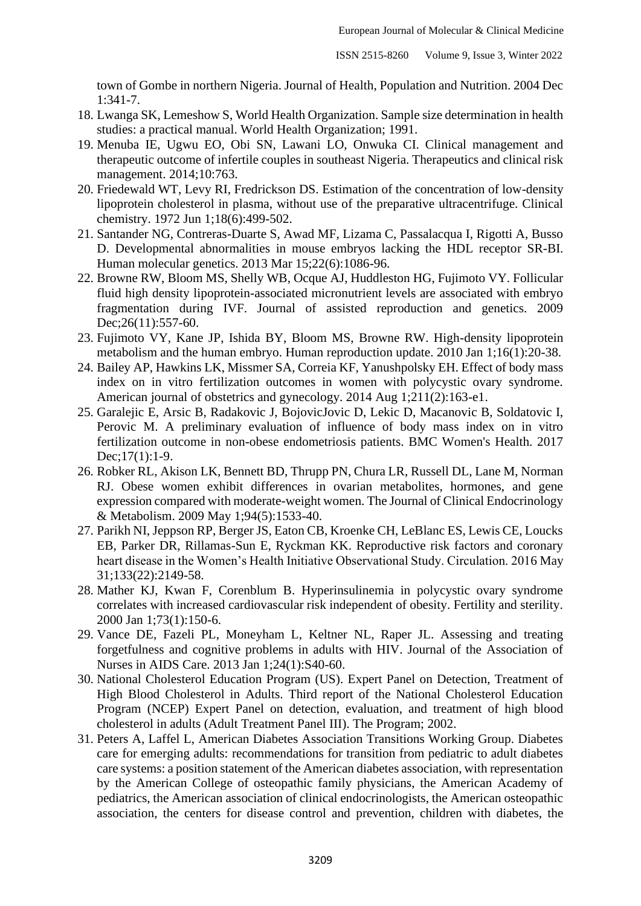town of Gombe in northern Nigeria. Journal of Health, Population and Nutrition. 2004 Dec 1:341-7.

- 18. Lwanga SK, Lemeshow S, World Health Organization. Sample size determination in health studies: a practical manual. World Health Organization; 1991.
- 19. Menuba IE, Ugwu EO, Obi SN, Lawani LO, Onwuka CI. Clinical management and therapeutic outcome of infertile couples in southeast Nigeria. Therapeutics and clinical risk management. 2014;10:763.
- 20. Friedewald WT, Levy RI, Fredrickson DS. Estimation of the concentration of low-density lipoprotein cholesterol in plasma, without use of the preparative ultracentrifuge. Clinical chemistry. 1972 Jun 1;18(6):499-502.
- 21. Santander NG, Contreras-Duarte S, Awad MF, Lizama C, Passalacqua I, Rigotti A, Busso D. Developmental abnormalities in mouse embryos lacking the HDL receptor SR-BI. Human molecular genetics. 2013 Mar 15;22(6):1086-96.
- 22. Browne RW, Bloom MS, Shelly WB, Ocque AJ, Huddleston HG, Fujimoto VY. Follicular fluid high density lipoprotein-associated micronutrient levels are associated with embryo fragmentation during IVF. Journal of assisted reproduction and genetics. 2009 Dec; 26(11): 557-60.
- 23. Fujimoto VY, Kane JP, Ishida BY, Bloom MS, Browne RW. High-density lipoprotein metabolism and the human embryo. Human reproduction update. 2010 Jan 1;16(1):20-38.
- 24. Bailey AP, Hawkins LK, Missmer SA, Correia KF, Yanushpolsky EH. Effect of body mass index on in vitro fertilization outcomes in women with polycystic ovary syndrome. American journal of obstetrics and gynecology. 2014 Aug 1;211(2):163-e1.
- 25. Garalejic E, Arsic B, Radakovic J, BojovicJovic D, Lekic D, Macanovic B, Soldatovic I, Perovic M. A preliminary evaluation of influence of body mass index on in vitro fertilization outcome in non-obese endometriosis patients. BMC Women's Health. 2017 Dec;17(1):1-9.
- 26. Robker RL, Akison LK, Bennett BD, Thrupp PN, Chura LR, Russell DL, Lane M, Norman RJ. Obese women exhibit differences in ovarian metabolites, hormones, and gene expression compared with moderate-weight women. The Journal of Clinical Endocrinology & Metabolism. 2009 May 1;94(5):1533-40.
- 27. Parikh NI, Jeppson RP, Berger JS, Eaton CB, Kroenke CH, LeBlanc ES, Lewis CE, Loucks EB, Parker DR, Rillamas-Sun E, Ryckman KK. Reproductive risk factors and coronary heart disease in the Women's Health Initiative Observational Study. Circulation. 2016 May 31;133(22):2149-58.
- 28. Mather KJ, Kwan F, Corenblum B. Hyperinsulinemia in polycystic ovary syndrome correlates with increased cardiovascular risk independent of obesity. Fertility and sterility. 2000 Jan 1;73(1):150-6.
- 29. Vance DE, Fazeli PL, Moneyham L, Keltner NL, Raper JL. Assessing and treating forgetfulness and cognitive problems in adults with HIV. Journal of the Association of Nurses in AIDS Care. 2013 Jan 1;24(1):S40-60.
- 30. National Cholesterol Education Program (US). Expert Panel on Detection, Treatment of High Blood Cholesterol in Adults. Third report of the National Cholesterol Education Program (NCEP) Expert Panel on detection, evaluation, and treatment of high blood cholesterol in adults (Adult Treatment Panel III). The Program; 2002.
- 31. Peters A, Laffel L, American Diabetes Association Transitions Working Group. Diabetes care for emerging adults: recommendations for transition from pediatric to adult diabetes care systems: a position statement of the American diabetes association, with representation by the American College of osteopathic family physicians, the American Academy of pediatrics, the American association of clinical endocrinologists, the American osteopathic association, the centers for disease control and prevention, children with diabetes, the